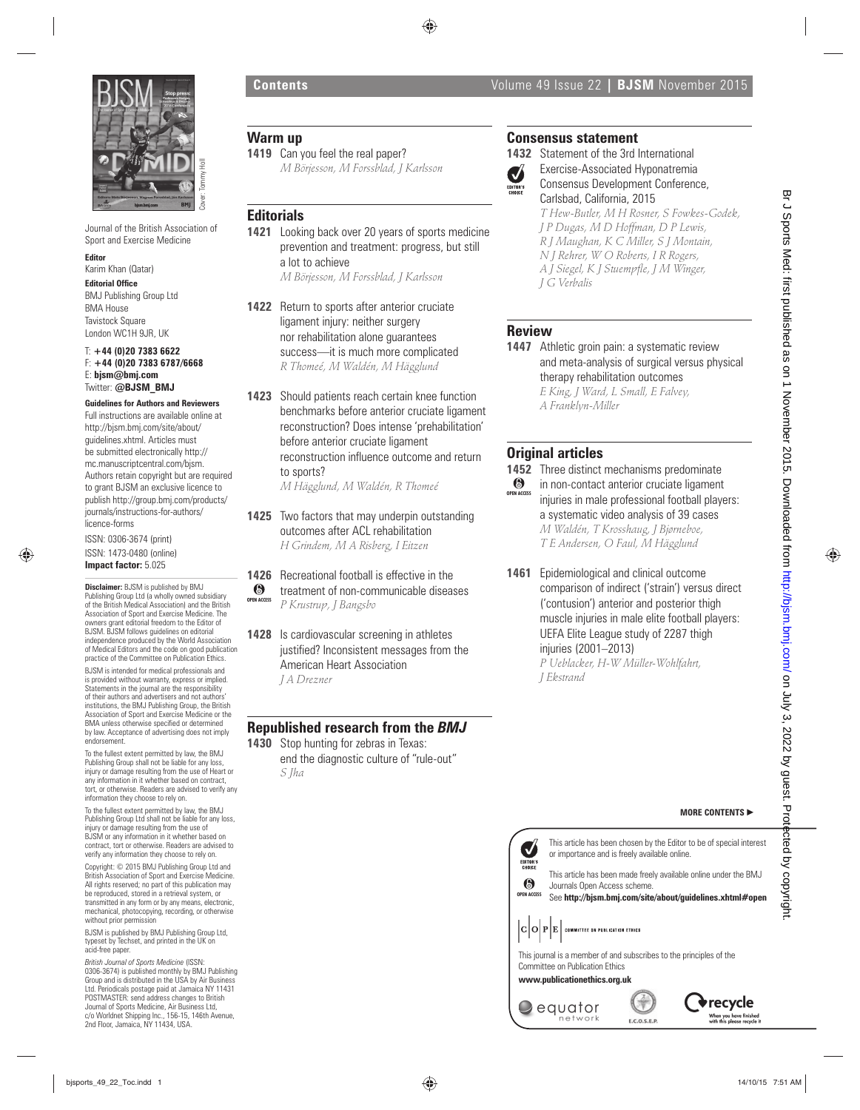

Journal of the British Association of Sport and Exercise Medicine

### **Editor**

Karim Khan (Qatar)

**Editorial Office** 

BMJ Publishing Group Ltd BMA House **Tavistock Square** London WC1H 9JR, UK

### T: **+44 (0)20 7383 6622** F: **+44 (0)20 7383 6787/6668** E: **bjsm@bmj.com** Twitter: **@BJSM\_BMJ**

**Guidelines for Authors and Reviewers**  Full instructions are available online at http://bjsm.bmj.com/site/about/ guidelines.xhtml. Articles must be submitted electronically http:// mc.manuscriptcentral.com/bjsm. Authors retain copyright but are required to grant BJSM an exclusive licence to publish http://group.bmj.com/products/ journals/instructions-for-authors/ licence-forms

ISSN: 0306-3674 (print) ISSN: 1473-0480 (online) **Impact factor:** 5.025

**Disclaimer:** BJSM is published by BMJ Publishing Group Ltd (a wholly owned subsidiary of the British Medical Association) and the British Association of Sport and Exercise Medicine. The owners grant editorial freedom to the Editor of BJSM. BJSM follows guidelines on editorial independence produced by the World Association of Medical Editors and the code on good publication practice of the Committee on Publication Ethics. BJSM is intended for medical professionals and is provided without warranty, express or implied. Statements in the journal are the responsibility of their authors and advertisers and not authors' institutions, the BMJ Publishing Group, the British Association of Sport and Exercise Medicine or the BMA unless otherwise specified or determined<br>by law. Acceptance of advertising does not imply endorsement. by the contract of the contract of the contract of the contract of the contract of the contract of the contract of the contract of the contract of the contract of the contract of the contract of the contract of the contra

To the fullest extent permitted by law, the BMJ Publishing Group shall not be liable for any loss, injury or damage resulting from the use of Heart or any information in it whether based on contract, tort, or otherwise. Readers are advised to verify any information they choose to rely on.

To the fullest extent permitted by law, the BMJ Publishing Group Ltd shall not be liable for any loss, injury or damage resulting from the use of BJSM or any information in it whether based on contract, tort or otherwise. Readers are advised to verify any information they choose to rely on.

Copyright: © 2015 BMJ Publishing Group Ltd and British Association of Sport and Exercise Medicine. All rights reserved; no part of this publication may be reproduced, stored in a retrieval system, or transmitted in any form or by any means, electronic, mechanical, photocopying, recording, or otherwise without prior permission

BJSM is published by BMJ Publishing Group Ltd, typeset by Techset, and printed in the UK on acid-free paper.

*British Journal of Sports Medicine* (ISSN: 0306-3674) is published monthly by BMJ Publishing Group and is distributed in the USA by Air Business riodicals postage paid at Jamaica NY 11431 POSTMASTER: send address changes to British Journal of Sports Medicine, Air Business Ltd, c/o Worldnet Shipping Inc., 156-15, 146th Avenue, 2nd Floor, Jamaica, NY 11434, USA.

# **Warm up**

**1419** Can you feel the real paper? *M Börjesson, M Forssblad, J Karlsson*

### **Editorials**

**1421** Looking back over 20 years of sports medicine prevention and treatment: progress, but still a lot to achieve *M Börjesson, M Forssblad, J Karlsson*

**1422** Return to sports after anterior cruciate ligament injury: neither surgery nor rehabilitation alone guarantees success—it is much more complicated *R Thomeé, M Waldén, M Hägglund*

**1423** Should patients reach certain knee function benchmarks before anterior cruciate ligament reconstruction? Does intense 'prehabilitation' before anterior cruciate ligament reconstruction influence outcome and return to sports?

*M Hägglund, M Waldén, R Thomeé*

**1425** Two factors that may underpin outstanding outcomes after ACL rehabilitation *H Grindem, M A Risberg, I Eitzen*

**1426** Recreational football is effective in the treatment of non-communicable diseases *P Krustrup, J Bangsbo* **OPEN ACCESS**

**1428** Is cardiovascular screening in athletes justified? Inconsistent messages from the American Heart Association *J A Drezner*

# **Republished research from the** *BMJ*

**1430** Stop hunting for zebras in Texas: end the diagnostic culture of "rule-out" *S Jha*

# **Consensus statement**

**1432** Statement of the 3rd International Exercise-Associated Hyponatremia Ø Consensus Development Conference, Carlsbad, California, 2015 *T Hew-Butler, M H Rosner, S Fowkes-Godek,* 

*J P Dugas, M D Hoffman, D P Lewis, R J Maughan, K C Miller, S J Montain, N J Rehrer, W O Roberts, I R Rogers, A J Siegel, K J Stuempfle, J M Winger, J G Verbalis*

### **Review**

1447 Athletic groin pain: a systematic review and meta-analysis of surgical versus physical therapy rehabilitation outcomes *E King, J Ward, L Small, E Falvey, A Franklyn-Miller*

# **Original articles**

**1452** Three distinct mechanisms predominate in non-contact anterior cruciate ligament injuries in male professional football players: a systematic video analysis of 39 cases *M Waldén, T Krosshaug, J Bjørneboe, T E Andersen, O Faul, M Hägglund* **OPEN ACCESS**

**1461** Epidemiological and clinical outcome comparison of indirect ('strain') versus direct ('contusion') anterior and posterior thigh muscle injuries in male elite football players: UEFA Elite League study of 2287 thigh injuries (2001–2013) *P Ueblacker, H-W Müller-Wohlfahrt,* 

*J Ekstrand*

# This article has been chosen by the Editor to be of special interest or importance and is freely available online.



**OPEN ACCESS** See **http://bjsm.bmj.com/site/about/guidelines.xhtml#open**

This journal is a member of and subscribes to the principles of the Committee on Publication Ethics

# **www.publicationethics.org.uk**





**MORE CONTENTS** -